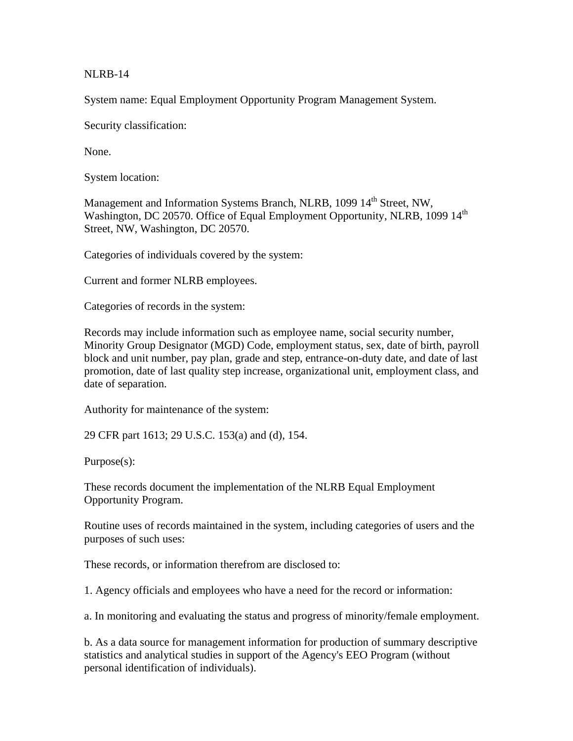## NLRB-14

System name: Equal Employment Opportunity Program Management System.

Security classification:

None.

System location:

Management and Information Systems Branch, NLRB, 1099 14<sup>th</sup> Street, NW, Washington, DC 20570. Office of Equal Employment Opportunity, NLRB, 1099 14<sup>th</sup> Street, NW, Washington, DC 20570.

Categories of individuals covered by the system:

Current and former NLRB employees.

Categories of records in the system:

Records may include information such as employee name, social security number, Minority Group Designator (MGD) Code, employment status, sex, date of birth, payroll block and unit number, pay plan, grade and step, entrance-on-duty date, and date of last promotion, date of last quality step increase, organizational unit, employment class, and date of separation.

Authority for maintenance of the system:

29 CFR part 1613; 29 U.S.C. 153(a) and (d), 154.

Purpose(s):

These records document the implementation of the NLRB Equal Employment Opportunity Program.

Routine uses of records maintained in the system, including categories of users and the purposes of such uses:

These records, or information therefrom are disclosed to:

1. Agency officials and employees who have a need for the record or information:

a. In monitoring and evaluating the status and progress of minority/female employment.

b. As a data source for management information for production of summary descriptive statistics and analytical studies in support of the Agency's EEO Program (without personal identification of individuals).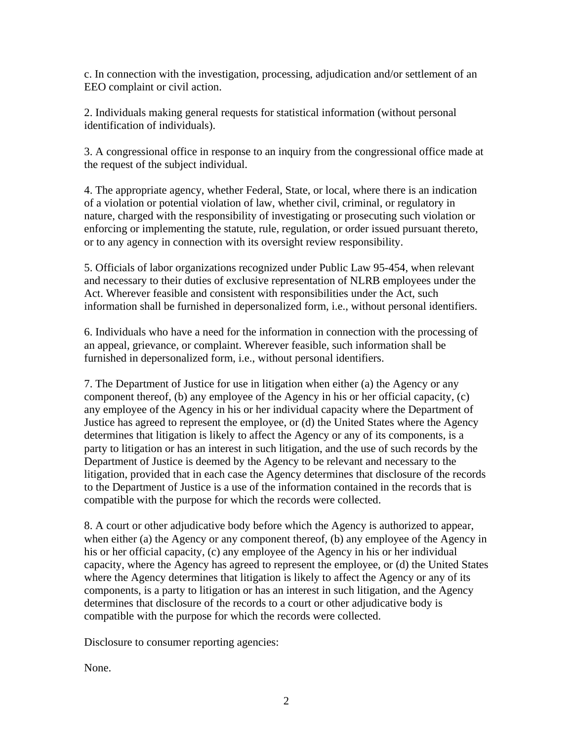c. In connection with the investigation, processing, adjudication and/or settlement of an EEO complaint or civil action.

2. Individuals making general requests for statistical information (without personal identification of individuals).

3. A congressional office in response to an inquiry from the congressional office made at the request of the subject individual.

4. The appropriate agency, whether Federal, State, or local, where there is an indication of a violation or potential violation of law, whether civil, criminal, or regulatory in nature, charged with the responsibility of investigating or prosecuting such violation or enforcing or implementing the statute, rule, regulation, or order issued pursuant thereto, or to any agency in connection with its oversight review responsibility.

5. Officials of labor organizations recognized under Public Law 95-454, when relevant and necessary to their duties of exclusive representation of NLRB employees under the Act. Wherever feasible and consistent with responsibilities under the Act, such information shall be furnished in depersonalized form, i.e., without personal identifiers.

6. Individuals who have a need for the information in connection with the processing of an appeal, grievance, or complaint. Wherever feasible, such information shall be furnished in depersonalized form, i.e., without personal identifiers.

7. The Department of Justice for use in litigation when either (a) the Agency or any component thereof, (b) any employee of the Agency in his or her official capacity, (c) any employee of the Agency in his or her individual capacity where the Department of Justice has agreed to represent the employee, or (d) the United States where the Agency determines that litigation is likely to affect the Agency or any of its components, is a party to litigation or has an interest in such litigation, and the use of such records by the Department of Justice is deemed by the Agency to be relevant and necessary to the litigation, provided that in each case the Agency determines that disclosure of the records to the Department of Justice is a use of the information contained in the records that is compatible with the purpose for which the records were collected.

8. A court or other adjudicative body before which the Agency is authorized to appear, when either (a) the Agency or any component thereof, (b) any employee of the Agency in his or her official capacity, (c) any employee of the Agency in his or her individual capacity, where the Agency has agreed to represent the employee, or (d) the United States where the Agency determines that litigation is likely to affect the Agency or any of its components, is a party to litigation or has an interest in such litigation, and the Agency determines that disclosure of the records to a court or other adjudicative body is compatible with the purpose for which the records were collected.

Disclosure to consumer reporting agencies:

None.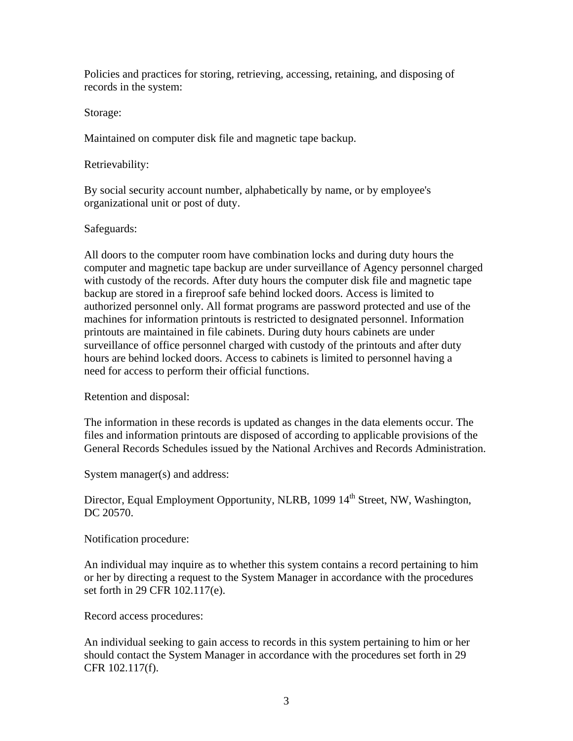Policies and practices for storing, retrieving, accessing, retaining, and disposing of records in the system:

Storage:

Maintained on computer disk file and magnetic tape backup.

Retrievability:

By social security account number, alphabetically by name, or by employee's organizational unit or post of duty.

## Safeguards:

All doors to the computer room have combination locks and during duty hours the computer and magnetic tape backup are under surveillance of Agency personnel charged with custody of the records. After duty hours the computer disk file and magnetic tape backup are stored in a fireproof safe behind locked doors. Access is limited to authorized personnel only. All format programs are password protected and use of the machines for information printouts is restricted to designated personnel. Information printouts are maintained in file cabinets. During duty hours cabinets are under surveillance of office personnel charged with custody of the printouts and after duty hours are behind locked doors. Access to cabinets is limited to personnel having a need for access to perform their official functions.

Retention and disposal:

The information in these records is updated as changes in the data elements occur. The files and information printouts are disposed of according to applicable provisions of the General Records Schedules issued by the National Archives and Records Administration.

System manager(s) and address:

Director, Equal Employment Opportunity, NLRB, 1099 14<sup>th</sup> Street, NW, Washington, DC 20570.

Notification procedure:

An individual may inquire as to whether this system contains a record pertaining to him or her by directing a request to the System Manager in accordance with the procedures set forth in 29 CFR 102.117(e).

Record access procedures:

An individual seeking to gain access to records in this system pertaining to him or her should contact the System Manager in accordance with the procedures set forth in 29 CFR 102.117(f).